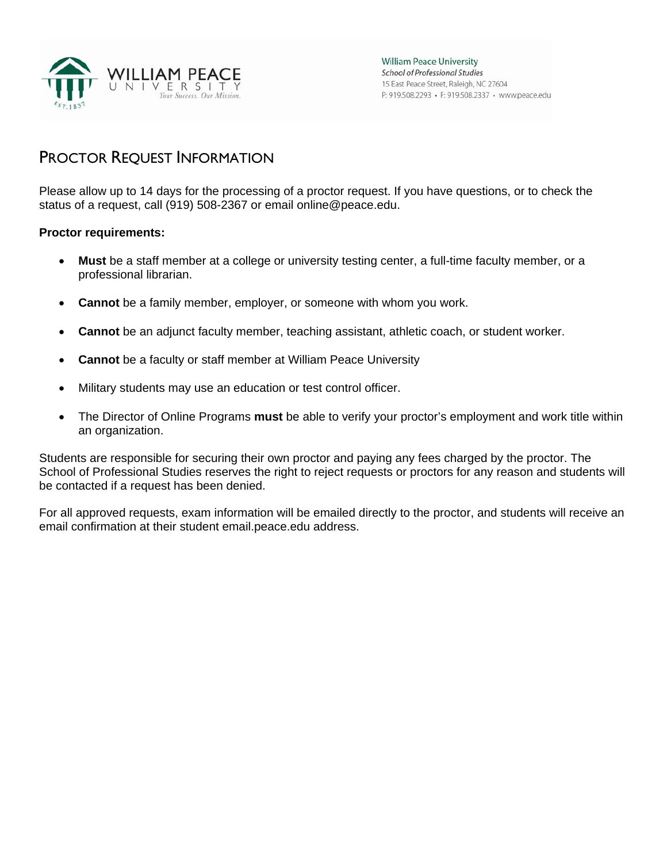

## PROCTOR REQUEST INFORMATION

Please allow up to 14 days for the processing of a proctor request. If you have questions, or to check the status of a request, call (919) 508-2367 or email online@peace.edu.

#### **Proctor requirements:**

- **Must** be a staff member at a college or university testing center, a full-time faculty member, or a professional librarian.
- **Cannot** be a family member, employer, or someone with whom you work.
- **Cannot** be an adjunct faculty member, teaching assistant, athletic coach, or student worker.
- **Cannot** be a faculty or staff member at William Peace University
- Military students may use an education or test control officer.
- The Director of Online Programs **must** be able to verify your proctor's employment and work title within an organization.

Students are responsible for securing their own proctor and paying any fees charged by the proctor. The School of Professional Studies reserves the right to reject requests or proctors for any reason and students will be contacted if a request has been denied.

For all approved requests, exam information will be emailed directly to the proctor, and students will receive an email confirmation at their student email.peace.edu address.